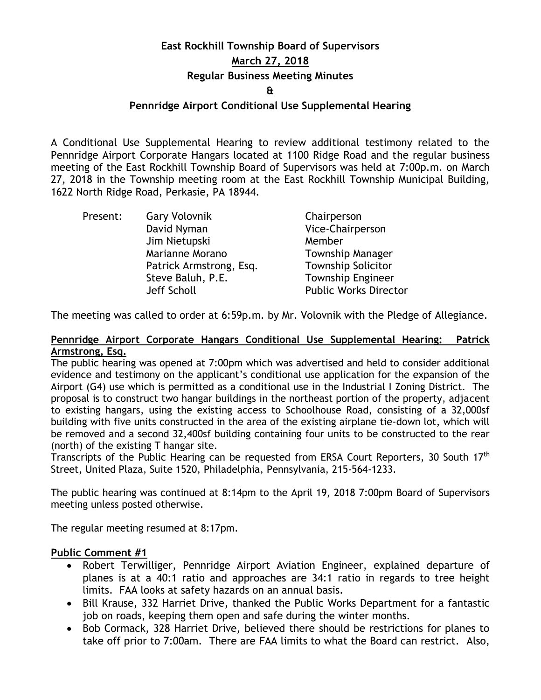# **East Rockhill Township Board of Supervisors March 27, 2018 Regular Business Meeting Minutes**

**&**

## **Pennridge Airport Conditional Use Supplemental Hearing**

A Conditional Use Supplemental Hearing to review additional testimony related to the Pennridge Airport Corporate Hangars located at 1100 Ridge Road and the regular business meeting of the East Rockhill Township Board of Supervisors was held at 7:00p.m. on March 27, 2018 in the Township meeting room at the East Rockhill Township Municipal Building, 1622 North Ridge Road, Perkasie, PA 18944.

| Present: | <b>Gary Volovnik</b>    | Chairperson                  |
|----------|-------------------------|------------------------------|
|          | David Nyman             | Vice-Chairperson             |
|          | Jim Nietupski           | Member                       |
|          | Marianne Morano         | <b>Township Manager</b>      |
|          | Patrick Armstrong, Esq. | <b>Township Solicitor</b>    |
|          | Steve Baluh, P.E.       | <b>Township Engineer</b>     |
|          | Jeff Scholl             | <b>Public Works Director</b> |
|          |                         |                              |

The meeting was called to order at 6:59p.m. by Mr. Volovnik with the Pledge of Allegiance.

#### **Pennridge Airport Corporate Hangars Conditional Use Supplemental Hearing: Patrick Armstrong, Esq.**

The public hearing was opened at 7:00pm which was advertised and held to consider additional evidence and testimony on the applicant's conditional use application for the expansion of the Airport (G4) use which is permitted as a conditional use in the Industrial I Zoning District. The proposal is to construct two hangar buildings in the northeast portion of the property, adjacent to existing hangars, using the existing access to Schoolhouse Road, consisting of a 32,000sf building with five units constructed in the area of the existing airplane tie-down lot, which will be removed and a second 32,400sf building containing four units to be constructed to the rear (north) of the existing T hangar site.

Transcripts of the Public Hearing can be requested from ERSA Court Reporters, 30 South 17<sup>th</sup> Street, United Plaza, Suite 1520, Philadelphia, Pennsylvania, 215-564-1233.

The public hearing was continued at 8:14pm to the April 19, 2018 7:00pm Board of Supervisors meeting unless posted otherwise.

The regular meeting resumed at 8:17pm.

#### **Public Comment #1**

- Robert Terwilliger, Pennridge Airport Aviation Engineer, explained departure of planes is at a 40:1 ratio and approaches are 34:1 ratio in regards to tree height limits. FAA looks at safety hazards on an annual basis.
- Bill Krause, 332 Harriet Drive, thanked the Public Works Department for a fantastic job on roads, keeping them open and safe during the winter months.
- Bob Cormack, 328 Harriet Drive, believed there should be restrictions for planes to take off prior to 7:00am. There are FAA limits to what the Board can restrict. Also,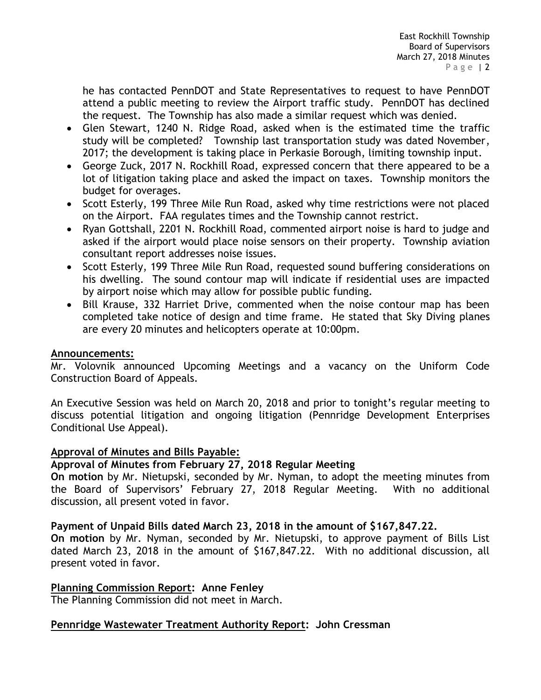he has contacted PennDOT and State Representatives to request to have PennDOT attend a public meeting to review the Airport traffic study. PennDOT has declined the request. The Township has also made a similar request which was denied.

- Glen Stewart, 1240 N. Ridge Road, asked when is the estimated time the traffic study will be completed? Township last transportation study was dated November, 2017; the development is taking place in Perkasie Borough, limiting township input.
- George Zuck, 2017 N. Rockhill Road, expressed concern that there appeared to be a lot of litigation taking place and asked the impact on taxes. Township monitors the budget for overages.
- Scott Esterly, 199 Three Mile Run Road, asked why time restrictions were not placed on the Airport. FAA regulates times and the Township cannot restrict.
- Ryan Gottshall, 2201 N. Rockhill Road, commented airport noise is hard to judge and asked if the airport would place noise sensors on their property. Township aviation consultant report addresses noise issues.
- Scott Esterly, 199 Three Mile Run Road, requested sound buffering considerations on his dwelling. The sound contour map will indicate if residential uses are impacted by airport noise which may allow for possible public funding.
- Bill Krause, 332 Harriet Drive, commented when the noise contour map has been completed take notice of design and time frame. He stated that Sky Diving planes are every 20 minutes and helicopters operate at 10:00pm.

# **Announcements:**

Mr. Volovnik announced Upcoming Meetings and a vacancy on the Uniform Code Construction Board of Appeals.

An Executive Session was held on March 20, 2018 and prior to tonight's regular meeting to discuss potential litigation and ongoing litigation (Pennridge Development Enterprises Conditional Use Appeal).

# **Approval of Minutes and Bills Payable:**

# **Approval of Minutes from February 27, 2018 Regular Meeting**

**On motion** by Mr. Nietupski, seconded by Mr. Nyman, to adopt the meeting minutes from the Board of Supervisors' February 27, 2018 Regular Meeting. With no additional discussion, all present voted in favor.

## **Payment of Unpaid Bills dated March 23, 2018 in the amount of \$167,847.22.**

**On motion** by Mr. Nyman, seconded by Mr. Nietupski, to approve payment of Bills List dated March 23, 2018 in the amount of \$167,847.22. With no additional discussion, all present voted in favor.

## **Planning Commission Report: Anne Fenley**

The Planning Commission did not meet in March.

# **Pennridge Wastewater Treatment Authority Report: John Cressman**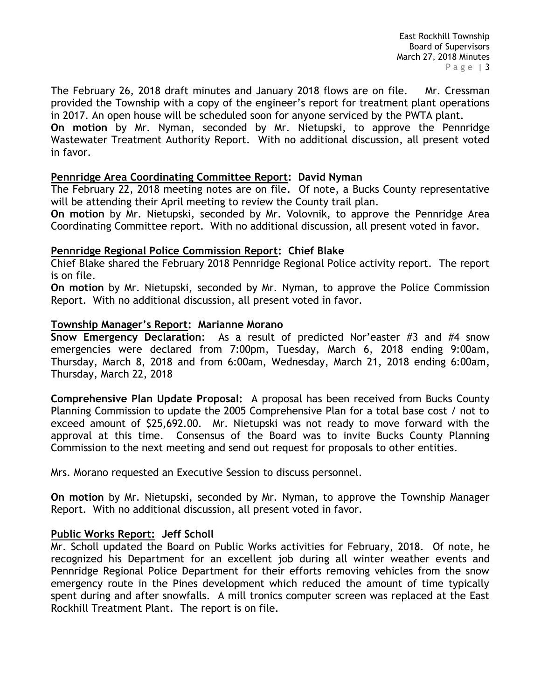The February 26, 2018 draft minutes and January 2018 flows are on file. Mr. Cressman provided the Township with a copy of the engineer's report for treatment plant operations in 2017. An open house will be scheduled soon for anyone serviced by the PWTA plant. **On motion** by Mr. Nyman, seconded by Mr. Nietupski, to approve the Pennridge

Wastewater Treatment Authority Report. With no additional discussion, all present voted in favor.

## **Pennridge Area Coordinating Committee Report: David Nyman**

The February 22, 2018 meeting notes are on file. Of note, a Bucks County representative will be attending their April meeting to review the County trail plan.

**On motion** by Mr. Nietupski, seconded by Mr. Volovnik, to approve the Pennridge Area Coordinating Committee report. With no additional discussion, all present voted in favor.

### **Pennridge Regional Police Commission Report: Chief Blake**

Chief Blake shared the February 2018 Pennridge Regional Police activity report. The report is on file.

**On motion** by Mr. Nietupski, seconded by Mr. Nyman, to approve the Police Commission Report. With no additional discussion, all present voted in favor.

#### **Township Manager's Report: Marianne Morano**

**Snow Emergency Declaration**: As a result of predicted Nor'easter #3 and #4 snow emergencies were declared from 7:00pm, Tuesday, March 6, 2018 ending 9:00am, Thursday, March 8, 2018 and from 6:00am, Wednesday, March 21, 2018 ending 6:00am, Thursday, March 22, 2018

**Comprehensive Plan Update Proposal:** A proposal has been received from Bucks County Planning Commission to update the 2005 Comprehensive Plan for a total base cost / not to exceed amount of \$25,692.00. Mr. Nietupski was not ready to move forward with the approval at this time. Consensus of the Board was to invite Bucks County Planning Commission to the next meeting and send out request for proposals to other entities.

Mrs. Morano requested an Executive Session to discuss personnel.

**On motion** by Mr. Nietupski, seconded by Mr. Nyman, to approve the Township Manager Report. With no additional discussion, all present voted in favor.

#### **Public Works Report: Jeff Scholl**

Mr. Scholl updated the Board on Public Works activities for February, 2018. Of note, he recognized his Department for an excellent job during all winter weather events and Pennridge Regional Police Department for their efforts removing vehicles from the snow emergency route in the Pines development which reduced the amount of time typically spent during and after snowfalls. A mill tronics computer screen was replaced at the East Rockhill Treatment Plant. The report is on file.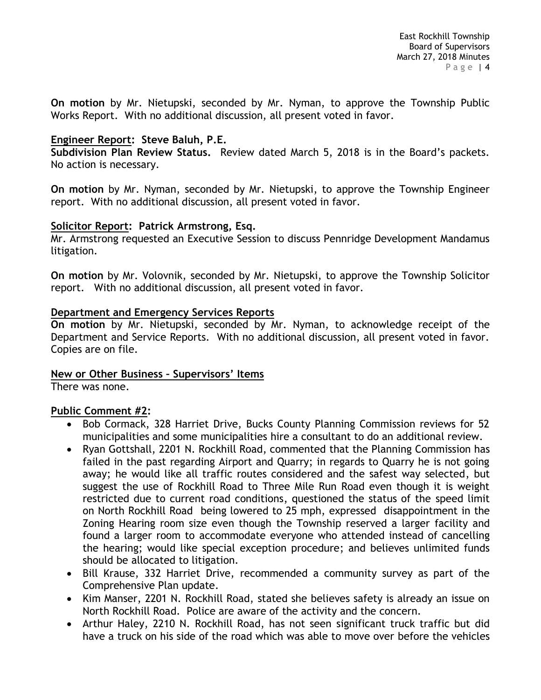**On motion** by Mr. Nietupski, seconded by Mr. Nyman, to approve the Township Public Works Report. With no additional discussion, all present voted in favor.

## **Engineer Report: Steve Baluh, P.E.**

**Subdivision Plan Review Status.** Review dated March 5, 2018 is in the Board's packets. No action is necessary.

**On motion** by Mr. Nyman, seconded by Mr. Nietupski, to approve the Township Engineer report. With no additional discussion, all present voted in favor.

### **Solicitor Report: Patrick Armstrong, Esq.**

Mr. Armstrong requested an Executive Session to discuss Pennridge Development Mandamus litigation.

**On motion** by Mr. Volovnik, seconded by Mr. Nietupski, to approve the Township Solicitor report. With no additional discussion, all present voted in favor.

### **Department and Emergency Services Reports**

**On motion** by Mr. Nietupski, seconded by Mr. Nyman, to acknowledge receipt of the Department and Service Reports. With no additional discussion, all present voted in favor. Copies are on file.

#### **New or Other Business – Supervisors' Items**

There was none.

#### **Public Comment #2:**

- Bob Cormack, 328 Harriet Drive, Bucks County Planning Commission reviews for 52 municipalities and some municipalities hire a consultant to do an additional review.
- Ryan Gottshall, 2201 N. Rockhill Road, commented that the Planning Commission has failed in the past regarding Airport and Quarry; in regards to Quarry he is not going away; he would like all traffic routes considered and the safest way selected, but suggest the use of Rockhill Road to Three Mile Run Road even though it is weight restricted due to current road conditions, questioned the status of the speed limit on North Rockhill Road being lowered to 25 mph, expressed disappointment in the Zoning Hearing room size even though the Township reserved a larger facility and found a larger room to accommodate everyone who attended instead of cancelling the hearing; would like special exception procedure; and believes unlimited funds should be allocated to litigation.
- Bill Krause, 332 Harriet Drive, recommended a community survey as part of the Comprehensive Plan update.
- Kim Manser, 2201 N. Rockhill Road, stated she believes safety is already an issue on North Rockhill Road. Police are aware of the activity and the concern.
- Arthur Haley, 2210 N. Rockhill Road, has not seen significant truck traffic but did have a truck on his side of the road which was able to move over before the vehicles